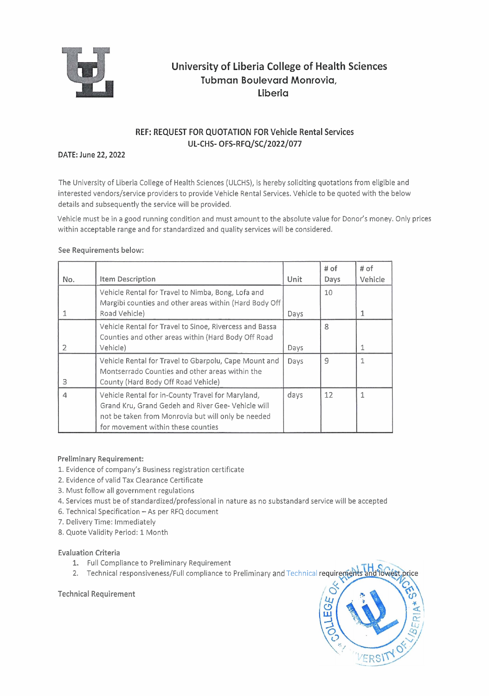

# **University of Liberia College of Health Sciences Tubman Boulevard Monrovia, Liberia**

## REF: REQUEST FOR QUOTATION FOR Vehicle Rental Services UL-CHS- OFS-RFQ/SC/2022/077

### DATE: June 22,2022

The University of Liberia College of Health Sciences (ULCHS), is hereby soliciting quotations from eligible and interested vendors/service providers to provide Vehicle Rental Services. Vehicle to be quoted with the below details and subsequently the service will be provided.

Vehicle must be in a good running condition and must amount to the absolute value for Donor's money. Only prices within acceptable range and for standardized and quality services will be considered.

### See Requirements below:

| No. | <b>Item Description</b>                                                                                                                                                                             | <b>Unit</b> | # of<br>Days | # of<br>Vehicle |
|-----|-----------------------------------------------------------------------------------------------------------------------------------------------------------------------------------------------------|-------------|--------------|-----------------|
|     | Vehicle Rental for Travel to Nimba, Bong, Lofa and<br>Margibi counties and other areas within (Hard Body Off                                                                                        |             | 10           |                 |
|     | Road Vehicle)                                                                                                                                                                                       | Days        |              |                 |
|     | Vehicle Rental for Travel to Sinoe, Rivercess and Bassa<br>Counties and other areas within (Hard Body Off Road                                                                                      |             | 8            |                 |
|     | Vehicle)                                                                                                                                                                                            | Days        |              | 1               |
| 3   | Vehicle Rental for Travel to Gbarpolu, Cape Mount and<br>Montserrado Counties and other areas within the<br>County (Hard Body Off Road Vehicle)                                                     | Days        | 9            |                 |
|     | Vehicle Rental for in-County Travel for Maryland,<br>Grand Kru, Grand Gedeh and River Gee- Vehicle will<br>not be taken from Monrovia but will only be needed<br>for movement within these counties | days        | 12           |                 |

#### Preliminary Requirement:

- 1. Evidence of company's Business registration certificate
- 2. Evidence of valid Tax Clearance Certificate
- 3. Must follow all government regulations
- 4. Services must be of standardized/professional in nature as no substandard service will be accepted
- 6. Technical Specification As per RFQ document
- 7. Delivery Time: Immediately
- 8. Quote Validity Period: 1 Month

#### Evaluation Criteria

- **1.** Full Compliance to Preliminary Requirement
- 2. Technical responsiveness/Full compliance to Preliminary and Technical

Technical Requirement